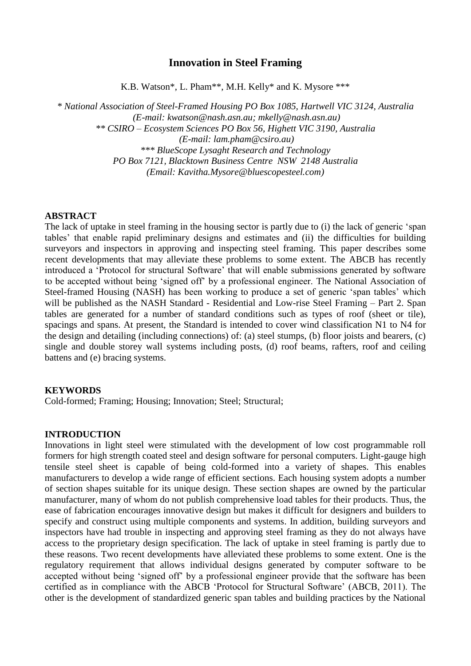# **Innovation in Steel Framing**

K.B. Watson\*, L. Pham\*\*, M.H. Kelly\* and K. Mysore \*\*\*

*\* National Association of Steel-Framed Housing PO Box 1085, Hartwell VIC 3124, Australia (E-mail: kwatson@nash.asn.au; mkelly@nash.asn.au) \*\* CSIRO – Ecosystem Sciences PO Box 56, Highett VIC 3190, Australia (E-mail: lam.pham@csiro.au) \*\*\* BlueScope Lysaght Research and Technology PO Box 7121, Blacktown Business Centre NSW 2148 Australia (Email: Kavitha.Mysore@bluescopesteel.com)*

#### **ABSTRACT**

The lack of uptake in steel framing in the housing sector is partly due to (i) the lack of generic 'span tables' that enable rapid preliminary designs and estimates and (ii) the difficulties for building surveyors and inspectors in approving and inspecting steel framing. This paper describes some recent developments that may alleviate these problems to some extent. The ABCB has recently introduced a 'Protocol for structural Software' that will enable submissions generated by software to be accepted without being 'signed off' by a professional engineer. The National Association of Steel-framed Housing (NASH) has been working to produce a set of generic 'span tables' which will be published as the NASH Standard - Residential and Low-rise Steel Framing – Part 2. Span tables are generated for a number of standard conditions such as types of roof (sheet or tile), spacings and spans. At present, the Standard is intended to cover wind classification N1 to N4 for the design and detailing (including connections) of: (a) steel stumps, (b) floor joists and bearers, (c) single and double storey wall systems including posts, (d) roof beams, rafters, roof and ceiling battens and (e) bracing systems.

#### **KEYWORDS**

Cold-formed; Framing; Housing; Innovation; Steel; Structural;

#### **INTRODUCTION**

Innovations in light steel were stimulated with the development of low cost programmable roll formers for high strength coated steel and design software for personal computers. Light-gauge high tensile steel sheet is capable of being cold-formed into a variety of shapes. This enables manufacturers to develop a wide range of efficient sections. Each housing system adopts a number of section shapes suitable for its unique design. These section shapes are owned by the particular manufacturer, many of whom do not publish comprehensive load tables for their products. Thus, the ease of fabrication encourages innovative design but makes it difficult for designers and builders to specify and construct using multiple components and systems. In addition, building surveyors and inspectors have had trouble in inspecting and approving steel framing as they do not always have access to the proprietary design specification. The lack of uptake in steel framing is partly due to these reasons. Two recent developments have alleviated these problems to some extent. One is the regulatory requirement that allows individual designs generated by computer software to be accepted without being 'signed off' by a professional engineer provide that the software has been certified as in compliance with the ABCB 'Protocol for Structural Software' (ABCB, 2011). The other is the development of standardized generic span tables and building practices by the National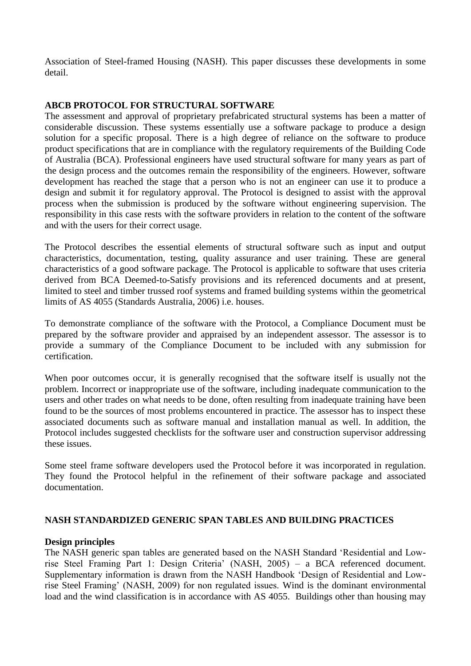Association of Steel-framed Housing (NASH). This paper discusses these developments in some detail.

## **ABCB PROTOCOL FOR STRUCTURAL SOFTWARE**

The assessment and approval of proprietary prefabricated structural systems has been a matter of considerable discussion. These systems essentially use a software package to produce a design solution for a specific proposal. There is a high degree of reliance on the software to produce product specifications that are in compliance with the regulatory requirements of the Building Code of Australia (BCA). Professional engineers have used structural software for many years as part of the design process and the outcomes remain the responsibility of the engineers. However, software development has reached the stage that a person who is not an engineer can use it to produce a design and submit it for regulatory approval. The Protocol is designed to assist with the approval process when the submission is produced by the software without engineering supervision. The responsibility in this case rests with the software providers in relation to the content of the software and with the users for their correct usage.

The Protocol describes the essential elements of structural software such as input and output characteristics, documentation, testing, quality assurance and user training. These are general characteristics of a good software package. The Protocol is applicable to software that uses criteria derived from BCA Deemed-to-Satisfy provisions and its referenced documents and at present, limited to steel and timber trussed roof systems and framed building systems within the geometrical limits of AS 4055 (Standards Australia, 2006) i.e. houses.

To demonstrate compliance of the software with the Protocol, a Compliance Document must be prepared by the software provider and appraised by an independent assessor. The assessor is to provide a summary of the Compliance Document to be included with any submission for certification.

When poor outcomes occur, it is generally recognised that the software itself is usually not the problem. Incorrect or inappropriate use of the software, including inadequate communication to the users and other trades on what needs to be done, often resulting from inadequate training have been found to be the sources of most problems encountered in practice. The assessor has to inspect these associated documents such as software manual and installation manual as well. In addition, the Protocol includes suggested checklists for the software user and construction supervisor addressing these issues.

Some steel frame software developers used the Protocol before it was incorporated in regulation. They found the Protocol helpful in the refinement of their software package and associated documentation.

## **NASH STANDARDIZED GENERIC SPAN TABLES AND BUILDING PRACTICES**

## **Design principles**

The NASH generic span tables are generated based on the NASH Standard 'Residential and Lowrise Steel Framing Part 1: Design Criteria' (NASH, 2005) – a BCA referenced document. Supplementary information is drawn from the NASH Handbook 'Design of Residential and Lowrise Steel Framing' (NASH, 2009) for non regulated issues. Wind is the dominant environmental load and the wind classification is in accordance with AS 4055. Buildings other than housing may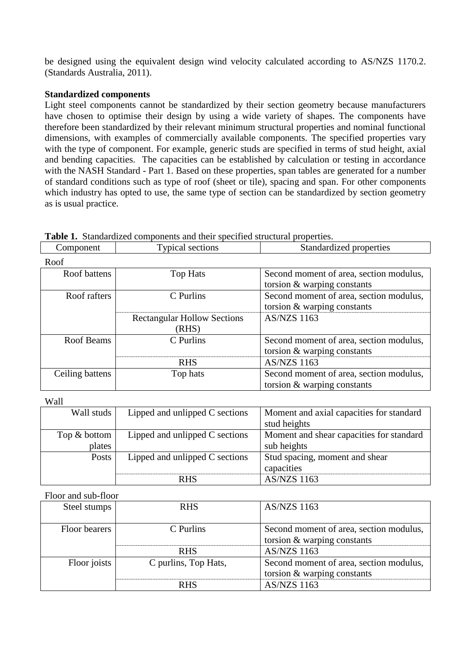be designed using the equivalent design wind velocity calculated according to AS/NZS 1170.2. (Standards Australia, 2011).

# **Standardized components**

Light steel components cannot be standardized by their section geometry because manufacturers have chosen to optimise their design by using a wide variety of shapes. The components have therefore been standardized by their relevant minimum structural properties and nominal functional dimensions, with examples of commercially available components. The specified properties vary with the type of component. For example, generic studs are specified in terms of stud height, axial and bending capacities. The capacities can be established by calculation or testing in accordance with the NASH Standard - Part 1. Based on these properties, span tables are generated for a number of standard conditions such as type of roof (sheet or tile), spacing and span. For other components which industry has opted to use, the same type of section can be standardized by section geometry as is usual practice.

| Roof            |                                    |                                         |
|-----------------|------------------------------------|-----------------------------------------|
| Roof battens    | Top Hats                           | Second moment of area, section modulus, |
|                 |                                    | torsion $&$ warping constants           |
| Roof rafters    | C Purlins                          | Second moment of area, section modulus, |
|                 |                                    | torsion $&$ warping constants           |
|                 | <b>Rectangular Hollow Sections</b> | <b>AS/NZS 1163</b>                      |
|                 | (RHS)                              |                                         |
| Roof Beams      | C Purlins                          | Second moment of area, section modulus, |
|                 |                                    | torsion $&$ warping constants           |
|                 | <b>RHS</b>                         | <b>AS/NZS 1163</b>                      |
| Ceiling battens | Top hats                           | Second moment of area, section modulus, |
|                 |                                    | torsion & warping constants             |

Component Typical sections Standardized properties

**Table 1.** Standardized components and their specified structural properties.

Wall

| Wall studs   | Lipped and unlipped C sections | Moment and axial capacities for standard |
|--------------|--------------------------------|------------------------------------------|
|              |                                | stud heights                             |
| Top & bottom | Lipped and unlipped C sections | Moment and shear capacities for standard |
| plates       |                                | sub heights                              |
| Posts        | Lipped and unlipped C sections | Stud spacing, moment and shear           |
|              |                                | capacities                               |
|              | <b>RHS</b>                     | <b>AS/NZS 1163</b>                       |

Floor and sub-floor

| Steel stumps  | <b>RHS</b>           | <b>AS/NZS 1163</b>                                                       |
|---------------|----------------------|--------------------------------------------------------------------------|
| Floor bearers | C Purlins            | Second moment of area, section modulus,<br>torsion $&$ warping constants |
|               | <b>RHS</b>           | <b>AS/NZS 1163</b>                                                       |
| Floor joists  | C purlins, Top Hats, | Second moment of area, section modulus,<br>torsion $&$ warping constants |
|               | <b>RHS</b>           | <b>AS/NZS 1163</b>                                                       |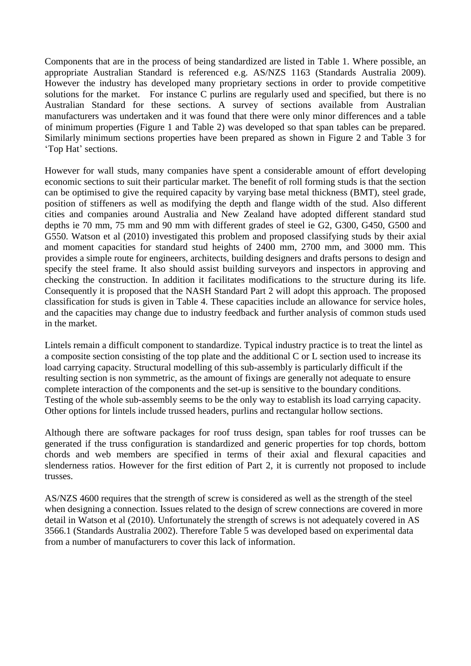Components that are in the process of being standardized are listed in Table 1. Where possible, an appropriate Australian Standard is referenced e.g. AS/NZS 1163 (Standards Australia 2009). However the industry has developed many proprietary sections in order to provide competitive solutions for the market. For instance C purlins are regularly used and specified, but there is no Australian Standard for these sections. A survey of sections available from Australian manufacturers was undertaken and it was found that there were only minor differences and a table of minimum properties (Figure 1 and Table 2) was developed so that span tables can be prepared. Similarly minimum sections properties have been prepared as shown in Figure 2 and Table 3 for 'Top Hat' sections.

However for wall studs, many companies have spent a considerable amount of effort developing economic sections to suit their particular market. The benefit of roll forming studs is that the section can be optimised to give the required capacity by varying base metal thickness (BMT), steel grade, position of stiffeners as well as modifying the depth and flange width of the stud. Also different cities and companies around Australia and New Zealand have adopted different standard stud depths ie 70 mm, 75 mm and 90 mm with different grades of steel ie G2, G300, G450, G500 and G550. Watson et al (2010) investigated this problem and proposed classifying studs by their axial and moment capacities for standard stud heights of 2400 mm, 2700 mm, and 3000 mm. This provides a simple route for engineers, architects, building designers and drafts persons to design and specify the steel frame. It also should assist building surveyors and inspectors in approving and checking the construction. In addition it facilitates modifications to the structure during its life. Consequently it is proposed that the NASH Standard Part 2 will adopt this approach. The proposed classification for studs is given in Table 4. These capacities include an allowance for service holes, and the capacities may change due to industry feedback and further analysis of common studs used in the market.

Lintels remain a difficult component to standardize. Typical industry practice is to treat the lintel as a composite section consisting of the top plate and the additional C or L section used to increase its load carrying capacity. Structural modelling of this sub-assembly is particularly difficult if the resulting section is non symmetric, as the amount of fixings are generally not adequate to ensure complete interaction of the components and the set-up is sensitive to the boundary conditions. Testing of the whole sub-assembly seems to be the only way to establish its load carrying capacity. Other options for lintels include trussed headers, purlins and rectangular hollow sections.

Although there are software packages for roof truss design, span tables for roof trusses can be generated if the truss configuration is standardized and generic properties for top chords, bottom chords and web members are specified in terms of their axial and flexural capacities and slenderness ratios. However for the first edition of Part 2, it is currently not proposed to include trusses.

AS/NZS 4600 requires that the strength of screw is considered as well as the strength of the steel when designing a connection. Issues related to the design of screw connections are covered in more detail in Watson et al (2010). Unfortunately the strength of screws is not adequately covered in AS 3566.1 (Standards Australia 2002). Therefore Table 5 was developed based on experimental data from a number of manufacturers to cover this lack of information.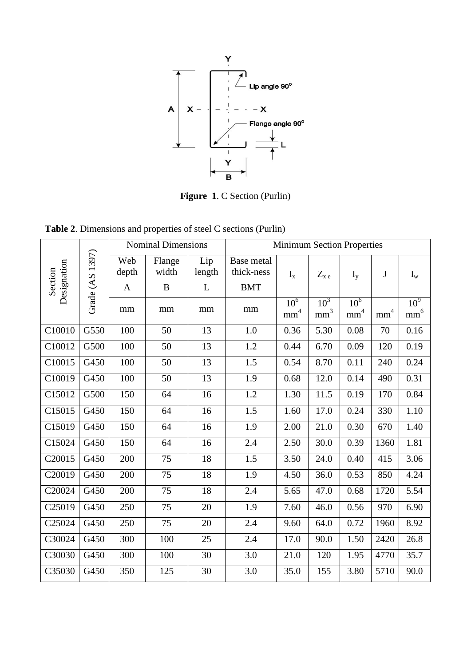

**Figure 1**. C Section (Purlin)

|  |  | <b>Table 2.</b> Dimensions and properties of steel C sections (Purlin) |  |  |  |  |  |
|--|--|------------------------------------------------------------------------|--|--|--|--|--|
|--|--|------------------------------------------------------------------------|--|--|--|--|--|

|             |                 | <b>Nominal Dimensions</b> |                 |               | <b>Minimum Section Properties</b> |                                    |                           |                                    |                 |                                    |
|-------------|-----------------|---------------------------|-----------------|---------------|-----------------------------------|------------------------------------|---------------------------|------------------------------------|-----------------|------------------------------------|
| Designation | Grade (AS 1397) | Web<br>depth              | Flange<br>width | Lip<br>length | Base metal<br>thick-ness          | $I_{x}$                            | $Z_{\boldsymbol{x}\;e}$   | $I_{v}$                            | J               | $I_{w}$                            |
| Section     |                 | $\mathbf{A}$              | $\, {\bf B}$    | L             | <b>BMT</b>                        |                                    |                           |                                    |                 |                                    |
|             |                 | mm                        | mm              | mm            | mm                                | 10 <sup>6</sup><br>$\mathrm{mm}^4$ | $10^3$<br>$\mathrm{mm}^3$ | 10 <sup>6</sup><br>$\mathrm{mm}^4$ | $\mathrm{mm}^4$ | 10 <sup>9</sup><br>$\mathrm{mm}^6$ |
| C10010      | G550            | 100                       | 50              | 13            | 1.0                               | 0.36                               | 5.30                      | 0.08                               | 70              | 0.16                               |
| C10012      | G500            | 100                       | 50              | 13            | 1.2                               | 0.44                               | 6.70                      | 0.09                               | 120             | 0.19                               |
| C10015      | G450            | 100                       | 50              | 13            | 1.5                               | 0.54                               | 8.70                      | 0.11                               | 240             | 0.24                               |
| C10019      | G450            | 100                       | 50              | 13            | 1.9                               | 0.68                               | 12.0                      | 0.14                               | 490             | 0.31                               |
| C15012      | G500            | 150                       | 64              | 16            | 1.2                               | 1.30                               | 11.5                      | 0.19                               | 170             | 0.84                               |
| C15015      | G450            | 150                       | 64              | 16            | 1.5                               | 1.60                               | 17.0                      | 0.24                               | 330             | 1.10                               |
| C15019      | G450            | 150                       | 64              | 16            | 1.9                               | 2.00                               | 21.0                      | 0.30                               | 670             | 1.40                               |
| C15024      | G450            | 150                       | 64              | 16            | 2.4                               | 2.50                               | 30.0                      | 0.39                               | 1360            | 1.81                               |
| C20015      | G450            | 200                       | 75              | 18            | 1.5                               | 3.50                               | 24.0                      | 0.40                               | 415             | 3.06                               |
| C20019      | G450            | 200                       | 75              | 18            | 1.9                               | 4.50                               | 36.0                      | 0.53                               | 850             | 4.24                               |
| C20024      | G450            | 200                       | 75              | 18            | 2.4                               | 5.65                               | 47.0                      | 0.68                               | 1720            | 5.54                               |
| C25019      | G450            | 250                       | 75              | 20            | 1.9                               | 7.60                               | 46.0                      | 0.56                               | 970             | 6.90                               |
| C25024      | G450            | 250                       | 75              | 20            | 2.4                               | 9.60                               | 64.0                      | 0.72                               | 1960            | 8.92                               |
| C30024      | G450            | 300                       | 100             | 25            | 2.4                               | 17.0                               | 90.0                      | 1.50                               | 2420            | 26.8                               |
| C30030      | G450            | 300                       | 100             | 30            | 3.0                               | 21.0                               | 120                       | 1.95                               | 4770            | 35.7                               |
| C35030      | G450            | 350                       | 125             | 30            | 3.0                               | 35.0                               | 155                       | 3.80                               | 5710            | 90.0                               |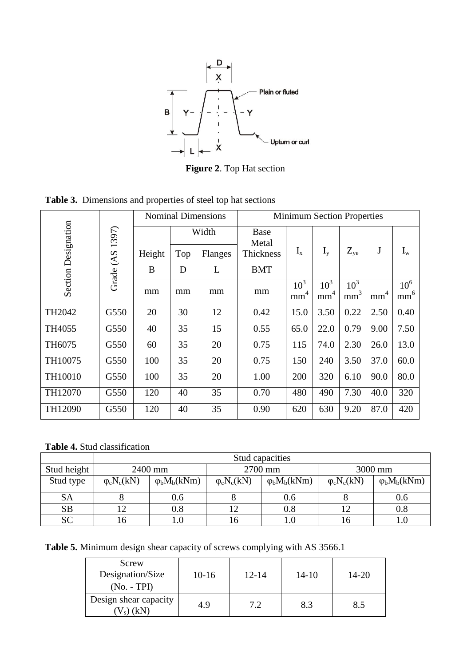

**Figure 2**. Top Hat section

|                            |           | <b>Nominal Dimensions</b>     |     |         | <b>Minimum Section Properties</b> |                                    |                                    |                                    |                 |                                    |
|----------------------------|-----------|-------------------------------|-----|---------|-----------------------------------|------------------------------------|------------------------------------|------------------------------------|-----------------|------------------------------------|
| <b>Section Designation</b> | 1397)     | Width<br><b>Base</b><br>Metal |     |         |                                   |                                    |                                    |                                    |                 |                                    |
|                            |           | Height                        | Top | Flanges | Thickness                         | $I_{x}$                            | $I_{v}$                            | $Z_{ye}$                           | $\bf J$         | $I_{w}$                            |
|                            | Grade (AS | B                             | D   | L       | <b>BMT</b>                        |                                    |                                    |                                    |                 |                                    |
|                            |           | mm                            | mm  | mm      | mm                                | 10 <sup>3</sup><br>mm <sup>4</sup> | 10 <sup>3</sup><br>mm <sup>4</sup> | 10 <sup>3</sup><br>mm <sup>3</sup> | mm <sup>4</sup> | 10 <sup>6</sup><br>mm <sup>6</sup> |
| TH2042                     | G550      | 20                            | 30  | 12      | 0.42                              | 15.0                               | 3.50                               | 0.22                               | 2.50            | 0.40                               |
| TH4055                     | G550      | 40                            | 35  | 15      | 0.55                              | 65.0                               | 22.0                               | 0.79                               | 9.00            | 7.50                               |
| TH6075                     | G550      | 60                            | 35  | 20      | 0.75                              | 115                                | 74.0                               | 2.30                               | 26.0            | 13.0                               |
| TH10075                    | G550      | 100                           | 35  | 20      | 0.75                              | 150                                | 240                                | 3.50                               | 37.0            | 60.0                               |
| TH10010                    | G550      | 100                           | 35  | 20      | 1.00                              | 200                                | 320                                | 6.10                               | 90.0            | 80.0                               |
| TH12070                    | G550      | 120                           | 40  | 35      | 0.70                              | 480                                | 490                                | 7.30                               | 40.0            | 320                                |
| TH12090                    | G550      | 120                           | 40  | 35      | 0.90                              | 620                                | 630                                | 9.20                               | 87.0            | 420                                |

**Table 3.** Dimensions and properties of steel top hat sections

**Table 4.** Stud classification

|             | Stud capacities     |                      |                     |                         |                     |                         |  |  |  |
|-------------|---------------------|----------------------|---------------------|-------------------------|---------------------|-------------------------|--|--|--|
| Stud height |                     | 2400 mm              |                     | 2700 mm                 | 3000 mm             |                         |  |  |  |
| Stud type   | $\varphi_c N_c(kN)$ | $\varphi_b M_b(kNm)$ | $\varphi_c N_c(kN)$ | $\varphi_{b}M_{b}(kNm)$ | $\varphi_c N_c(kN)$ | $\varphi_{b}M_{b}(kNm)$ |  |  |  |
| SA          |                     | 0.6                  |                     | 0.6                     |                     | 0.6                     |  |  |  |
| <b>SB</b>   |                     | 0.8                  |                     | 0.8                     |                     | $0.8\,$                 |  |  |  |
| SC          |                     | $_{1.0}$             |                     | $1.0\,$                 |                     |                         |  |  |  |

**Table 5.** Minimum design shear capacity of screws complying with AS 3566.1

| Screw<br>Designation/Size<br>$(No. - TPI)$ | $10-16$ | $12 - 14$ | $14 - 10$ | 14-20 |
|--------------------------------------------|---------|-----------|-----------|-------|
| Design shear capacity<br>λN                | 4.9     | 79        | 8.3       | 8.5   |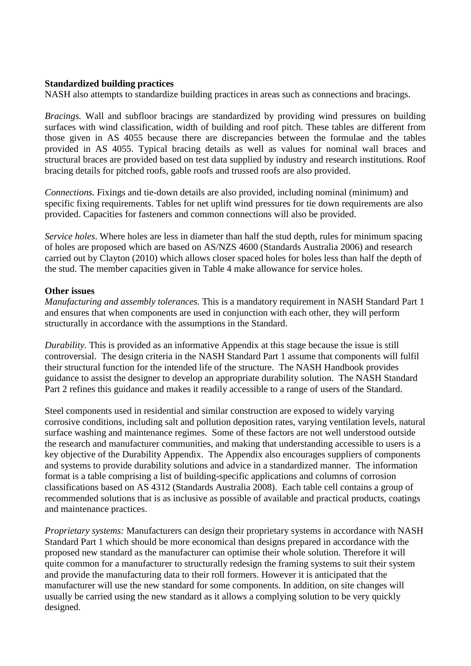## **Standardized building practices**

NASH also attempts to standardize building practices in areas such as connections and bracings.

*Bracings.* Wall and subfloor bracings are standardized by providing wind pressures on building surfaces with wind classification, width of building and roof pitch. These tables are different from those given in AS 4055 because there are discrepancies between the formulae and the tables provided in AS 4055. Typical bracing details as well as values for nominal wall braces and structural braces are provided based on test data supplied by industry and research institutions. Roof bracing details for pitched roofs, gable roofs and trussed roofs are also provided.

*Connections.* Fixings and tie-down details are also provided, including nominal (minimum) and specific fixing requirements. Tables for net uplift wind pressures for tie down requirements are also provided. Capacities for fasteners and common connections will also be provided.

*Service holes*. Where holes are less in diameter than half the stud depth, rules for minimum spacing of holes are proposed which are based on AS/NZS 4600 (Standards Australia 2006) and research carried out by Clayton (2010) which allows closer spaced holes for holes less than half the depth of the stud. The member capacities given in Table 4 make allowance for service holes.

#### **Other issues**

*Manufacturing and assembly tolerances.* This is a mandatory requirement in NASH Standard Part 1 and ensures that when components are used in conjunction with each other, they will perform structurally in accordance with the assumptions in the Standard.

*Durability.* This is provided as an informative Appendix at this stage because the issue is still controversial. The design criteria in the NASH Standard Part 1 assume that components will fulfil their structural function for the intended life of the structure. The NASH Handbook provides guidance to assist the designer to develop an appropriate durability solution. The NASH Standard Part 2 refines this guidance and makes it readily accessible to a range of users of the Standard.

Steel components used in residential and similar construction are exposed to widely varying corrosive conditions, including salt and pollution deposition rates, varying ventilation levels, natural surface washing and maintenance regimes. Some of these factors are not well understood outside the research and manufacturer communities, and making that understanding accessible to users is a key objective of the Durability Appendix. The Appendix also encourages suppliers of components and systems to provide durability solutions and advice in a standardized manner. The information format is a table comprising a list of building-specific applications and columns of corrosion classifications based on AS 4312 (Standards Australia 2008). Each table cell contains a group of recommended solutions that is as inclusive as possible of available and practical products, coatings and maintenance practices.

*Proprietary systems:* Manufacturers can design their proprietary systems in accordance with NASH Standard Part 1 which should be more economical than designs prepared in accordance with the proposed new standard as the manufacturer can optimise their whole solution. Therefore it will quite common for a manufacturer to structurally redesign the framing systems to suit their system and provide the manufacturing data to their roll formers. However it is anticipated that the manufacturer will use the new standard for some components. In addition, on site changes will usually be carried using the new standard as it allows a complying solution to be very quickly designed.